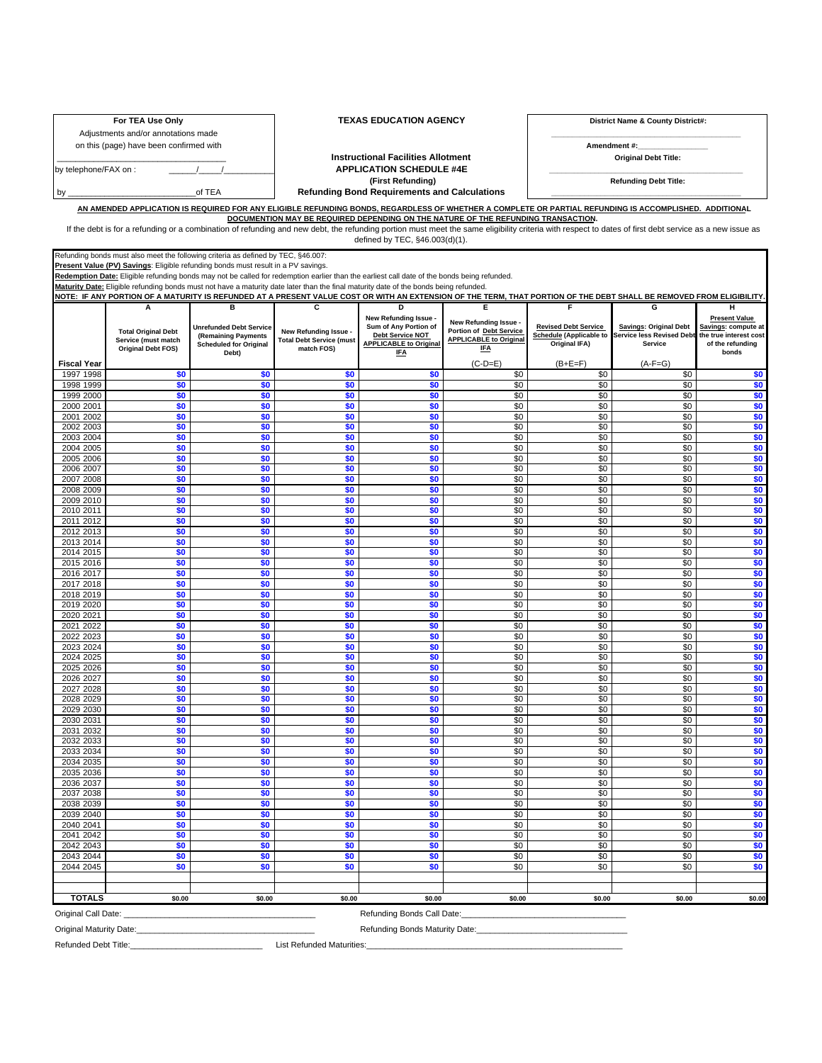Adjustments and/or annotations made

## For TEA Use Only **TEXAS EDUCATION AGENCY** District Name & County District#:

**\_\_\_\_\_\_\_\_\_\_\_\_\_\_\_\_\_\_\_\_\_\_\_\_\_\_\_\_\_\_\_\_\_\_\_\_\_\_\_\_\_\_\_\_\_\_** 

on this (page) have been confirmed with **Amendment #: Amendment #: Amendment #: Amendment #: Amendment #: Amendment #: Amendment #: Amendment #: Amendment #: Amendment #: Amendment #: Amendment #: A** 

\_\_\_\_\_\_\_\_\_\_\_\_\_\_\_\_\_\_\_\_\_\_\_\_\_\_\_\_\_\_\_\_\_\_\_\_\_ **Instructional Facilities Allotment Original Debt Title:**  by telephone/FAX on : \_\_\_\_\_\_/\_\_\_\_\_/\_\_\_\_\_\_\_\_\_\_\_ **APPLICATION SCHEDULE #4E \_\_\_\_\_\_\_\_\_\_\_\_\_\_\_\_\_\_\_\_\_\_\_\_\_\_\_\_\_\_\_\_\_\_\_\_\_\_\_\_\_\_\_\_\_\_\_ (First Refunding) Refunding Debt Title:**  by \_\_\_\_\_\_\_\_\_\_\_\_\_\_\_\_\_\_\_\_\_\_\_\_\_\_\_\_of TEA **Refunding Bond Requirements and Calculations \_\_\_\_\_\_\_\_\_\_\_\_\_\_\_\_\_\_\_\_\_\_\_\_\_\_\_\_\_\_\_\_\_\_\_\_\_\_\_\_\_\_\_\_\_\_** 

**AN AMENDED APPLICATION IS REQUIRED FOR ANY ELIGIBLE REFUNDING BONDS, REGARDLESS OF WHETHER A COMPLETE OR PARTIAL REFUNDING IS ACCOMPLISHED. ADDITIONAL DOCUMENTION MAY BE REQUIRED DEPENDING ON THE NATURE OF THE REFUNDING TRANSACTION.**

If the debt is for a refunding or a combination of refunding and new debt, the refunding portion must meet the same eligibility criteria with respect to dates of first debt service as a new issue as defined by TEC, §46.003(d)(1).

Refunding bonds must also meet the following criteria as defined by TEC, §46.007:

**Present Value (PV) Savings**: Eligible refunding bonds must result in a PV savings.

**Redemption Date:** Eligible refunding bonds may not be called for redemption earlier than the earliest call date of the bonds being refunded.

**Maturity Date:** Eligible refunding bonds must not have a maturity date later than the final maturity date of the bonds being refunded. **NOTE: IF ANY PORTION OF A MATURITY IS REFUNDED AT A PRESENT VALUE COST OR WITH AN EXTENSION OF THE TERM, THAT PORTION OF THE DEBT SHALL BE REMOVED FROM ELIGIBILITY.** 

**Fiscal Year A Total Original Debt Service (must match Original Debt FOS) B Unrefunded Debt Service (Remaining Payments Scheduled for Original Debt) C New Refunding Issue - Total Debt Service (must match FOS) D**  w Refunding Issue **: Sum of Any Portion of Debt Service NOT APPLICABLE to Original IFA E New Refunding Issue - Portion of Debt Service APPLICABLE to Original IFA**   $(C-D=F)$ **F Revised Debt Service Schedule (Applicable to Original IFA)**   $(B+F=F)$ **G Savings: Original Debt I**rvice less Revised Deb **Service**   $(A-F=G)$ **H Present Value**  Savings: compute a **the true interest cost of the refunding bonds**  1997 1998 **\$0 \$0 \$0 \$0** \$0 \$0 \$0 **\$0**  1998 1999 **\$0 \$0 \$0 \$0** \$0 \$0 \$0 **\$0**  1999 2000 **\$0 \$0 \$0 \$0** \$0 \$0 \$0 **\$0**  2000 2001 **\$0 \$0 \$0 \$0** \$0 \$0 \$0 **\$0**  2001 2002 **\$0 \$0 \$0 \$0** \$0 \$0 \$0 **\$0**  2002 2003 **\$0 \$0 \$0 \$0** \$0 \$0 \$0 **\$0**  2003 2004 **\$0 \$0 \$0 \$0** \$0 \$0 \$0 **\$0**  2004 2005 **\$0 \$0 \$0 \$0** \$0 \$0 \$0 **\$0**  2005 2006 **\$0 \$0 \$0 \$0** \$0 \$0 \$0 **\$0**  2006 2007 **\$0 \$0 \$0 \$0** \$0 \$0 \$0 **\$0**  2007 2008 **\$0 \$0 \$0 \$0** \$0 \$0 \$0 **\$0**  2008 2009 **\$0 \$0 \$0 \$0** \$0 \$0 \$0 **\$0**  2009 2010 **\$0 \$0 \$0 \$0** \$0 \$0 \$0 **\$0**  2010 2011 **\$0 \$0 \$0 \$0** \$0 \$0 \$0 **\$0**  2011 2012 **\$0 \$0 \$0 \$0** \$0 \$0 \$0 **\$0**  2012 2013 **\$0 \$0 \$0 \$0** \$0 \$0 \$0 **\$0**  2013 2014 **\$0 \$0 \$0 \$0** \$0 \$0 \$0 **\$0**  2014 2015 **\$0 \$0 \$0 \$0** \$0 \$0 \$0 **\$0**  2015 2016 **\$0 \$0 \$0 \$0** \$0 \$0 \$0 **\$0**  2016 2017 **\$0 \$0 \$0 \$0** \$0 \$0 \$0 **\$0**  2017 2018 **\$0 \$0 \$0 \$0** \$0 \$0 \$0 **\$0**  2018 2019 **\$0 \$0 \$0 \$0 \$0 \$0 \$0 \$0 \$0 \$0 \$0 \$0 \$0** \$0 \$0 \$0 \$0 \$0 \$1 2019 2020 **\$0 \$0 \$0 \$0** \$0 \$0 \$0 **\$0**  2020 2021 **\$0 \$0 \$0 \$0** \$0 \$0 \$0 **\$0**  2021 2022 **\$0 \$0 \$0 \$0** \$0 \$0 \$0 **\$0**  2022 2023 **\$0 \$0 \$0 \$0** \$0 \$0 \$0 **\$0**  2023 2024 **\$0 \$0 \$0 \$0** \$0 \$0 \$0 **\$0**  2024 2025 **\$0 \$0 \$0 \$0** \$0 \$0 \$0 **\$0**  2025 2026 **\$0 \$0 \$0 \$0** \$0 \$0 \$0 **\$0**  2026 2027 **\$0 \$0 \$0 \$0** \$0 \$0 \$0 **\$0**  2027 2028 **\$0 \$0 \$0 \$0** \$0 \$0 \$0 **\$0**  2028 2029 **\$0 \$0 \$0 \$0** \$0 \$0 \$0 **\$0**  2029 2030 **\$0 \$0 \$0 \$0** \$0 \$0 \$0 **\$0**  2030 2031 **\$0 \$0 \$0 \$0** \$0 \$0 \$0 **\$0**  2031 2032 **\$0 \$0 \$0 \$0** \$0 \$0 \$0 **\$0**  2032 2033 **\$0 \$0 \$0 \$0** \$0 \$0 \$0 **\$0**  2033 2034 **\$0 \$0 \$0 \$0** \$0 \$0 \$0 **\$0**  2034 2035 **\$0 \$0 \$0 \$0** \$0 \$0 \$0 **\$0**  2035 2036 **\$0 \$0 \$0 \$0** \$0 \$0 \$0 **\$0**  2036 2037 **\$0 \$0 \$0 \$0** \$0 \$0 \$0 **\$0**  2037 2038 **\$0 \$0 \$0 \$0** \$0 \$0 \$0 **\$0**  2038 2039 **\$0 \$0 \$0 \$0** \$0 \$0 \$0 **\$0**  2039 2040 **\$0 \$0 \$0 \$0** \$0 \$0 \$0 **\$0**  2040 2041 **\$0 \$0 \$0 \$0** \$0 \$0 \$0 **\$0**  2041 2042 **\$0 \$0 \$0 \$0** \$0 \$0 \$0 **\$0**  2042 2043 **\$0 \$0 \$0 \$0** \$0 \$0 \$0 **\$0**  2043 2044 **\$0 \$0 \$0 \$0** \$0 \$0 \$0 **\$0**  2044 2045 **\$0 \$0 \$0 \$0** \$0 \$0 \$0 **\$0 TOTALS \$0.00 \$0.00 \$0.00 \$0.00 \$0.00 \$0.00 \$0.00 \$0.00**  Original Call Date: \_\_\_\_\_\_\_\_\_\_\_\_\_\_\_\_\_\_\_\_\_\_\_\_\_\_\_\_\_\_\_\_\_\_\_\_\_\_\_\_\_\_ Refunding Bonds Call Date:\_\_\_\_\_\_\_\_\_\_\_\_\_\_\_\_\_\_\_\_\_\_\_\_\_\_\_\_\_\_\_\_\_\_\_\_

Original Maturity Date:\_\_\_\_\_\_\_\_\_\_\_\_\_\_\_\_\_\_\_\_\_\_\_\_\_\_\_\_\_\_\_\_\_\_\_\_\_\_\_ Refunding Bonds Maturity Date:\_\_\_\_\_\_\_\_\_\_\_\_\_\_\_\_\_\_\_\_\_\_\_\_\_\_\_\_\_\_\_\_\_

Refunded Debt Title:\_\_\_\_\_\_\_\_\_\_\_\_\_\_\_\_\_\_\_\_\_\_\_\_\_\_\_\_\_ List Refunded Maturities:\_\_\_\_\_\_\_\_\_\_\_\_\_\_\_\_\_\_\_\_\_\_\_\_\_\_\_\_\_\_\_\_\_\_\_\_\_\_\_\_\_\_\_\_\_\_\_\_\_\_\_\_\_\_\_\_